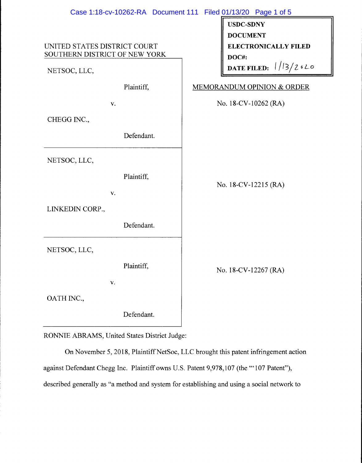|                                                               | Case 1:18-cv-10262-RA Document 111 Filed 01/13/20 Page 1 of 5 |
|---------------------------------------------------------------|---------------------------------------------------------------|
|                                                               | <b>USDC-SDNY</b>                                              |
|                                                               | <b>DOCUMENT</b>                                               |
| UNITED STATES DISTRICT COURT<br>SOUTHERN DISTRICT OF NEW YORK | <b>ELECTRONICALLY FILED</b>                                   |
|                                                               | DOC#:<br>DATE FILED: $1/13/2$ $620$                           |
| NETSOC, LLC,                                                  |                                                               |
| Plaintiff,                                                    | <b>MEMORANDUM OPINION &amp; ORDER</b>                         |
| v.                                                            | No. 18-CV-10262 (RA)                                          |
| CHEGG INC.,                                                   |                                                               |
| Defendant.                                                    |                                                               |
| NETSOC, LLC,                                                  |                                                               |
| Plaintiff,                                                    |                                                               |
| V.                                                            | No. 18-CV-12215 (RA)                                          |
|                                                               |                                                               |
| LINKEDIN CORP.,                                               |                                                               |
| Defendant.                                                    |                                                               |
| NETSOC, LLC,                                                  |                                                               |
| Plaintiff,                                                    |                                                               |
|                                                               | No. 18-CV-12267 (RA)                                          |
| V.                                                            |                                                               |
| OATH INC.,                                                    |                                                               |
| Defendant.                                                    |                                                               |

RONNIE ABRAMS, United States District Judge:

On November 5, 2018, Plaintiff NetSoc, LLC brought this patent infringement action against Defendant Chegg Inc. Plaintiff owns U.S. Patent 9,978,107 (the "' 107 Patent"), described generally as "a method and system for establishing and using a social network to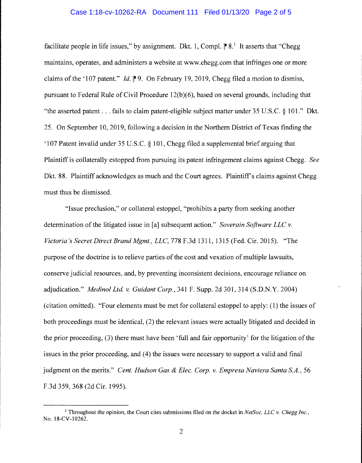## Case 1:18-cv-10262-RA Document 111 Filed 01/13/20 Page 2 of 5

facilitate people in life issues," by assignment. Dkt. 1, Compl.  $\mathbb{P}8$ . It asserts that "Chegg" maintains, operates, and administers a website at www.chegg.com that infringes one or more claims of the '107 patent." *Id.* <sup> $\uparrow$ </sup> 9. On February 19, 2019, Chegg filed a motion to dismiss, pursuant to Federal Rule of Civil Procedure 12(b)(6), based on several grounds, including that "the asserted patent ... fails to claim patent-eligible subject matter under 35 U.S.C. § 101." Dkt. 25. On September 10, 2019, following a decision in the Northern District of Texas finding the '107 Patent invalid under 35 U.S.C. § 101, Chegg filed a supplemental brief arguing that Plaintiff is collaterally estopped from pursuing its patent infringement claims against Chegg. *See*  Dkt. 88. Plaintiff acknowledges as much and the Court agrees. Plaintiff's claims against Chegg must thus be dismissed.

"Issue preclusion," or collateral estoppel, "prohibits a party from seeking another determination of the litigated issue in [a] subsequent action." *Soverain Software LLC v. Victoria's Secret Direct Brand Mgmt., LLC,* 778 F .3d 1311, 1315 (Fed. Cir. 2015). "The purpose of the doctrine is to relieve parties of the cost and vexation of multiple lawsuits, conserve judicial resources, and, by preventing inconsistent decisions, encourage reliance on adjudication." *Medino! Ltd v. Guidant Corp.,* 341 F. Supp. 2d 301,314 (S.D.N.Y. 2004) (citation omitted). "Four elements must be met for collateral estoppel to apply: (1) the issues of both proceedings must be identical, (2) the relevant issues were actually litigated and decided in the prior proceeding, (3) there must have been 'full and fair opportunity' for the litigation of the issues in the prior proceeding, and (4) the issues were necessary to support a valid and final judgment on the merits." *Cent. Hudson Gas & Elec. Corp. v. Empresa Naviera Santa S.A.,* 56 F.3d 359, 368 (2d Cir. 1995).

<sup>1</sup> Throughout the opinion, the Court cites submissions filed on the docket in *NetSoc, LLC v. Chegg Inc.,*  No. 18-CV-10262.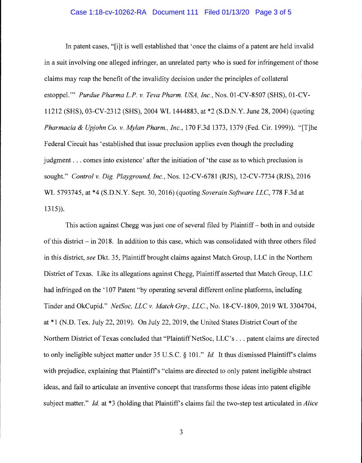## Case 1:18-cv-10262-RA Document 111 Filed 01/13/20 Page 3 of 5

In patent cases, "(i]t is well established that 'once the claims of a patent are held invalid in a suit involving one alleged infringer, an unrelated party who is sued for infringement of those claims may reap the benefit of the invalidity decision under the principles of collateral estoppel."' *Purdue Pharma L.P. v. Teva Pharm. USA, Inc.,* Nos. 01-CV-8507 (SHS), 01-CV-11212 (SHS), 03-CV-2312 (SHS), 2004 WL 1444883, at \*2 (S.D.N.Y. June 28, 2004) (quoting *Pharmacia & Upjohn Co. v. Mylan Pharm., Inc.,* 170 F.3d 1373, 1379 (Fed. Cir. 1999)). "[T]he Federal Circuit has 'established that issue preclusion applies even though the precluding judgment ... comes into existence' after the initiation of 'the case as to which preclusion is sought." *Control v. Dig. Playground, Inc.,* Nos. 12-CV-6781 (RJS), 12-CV-7734 (RJS), 2016 WL 5793745, at \*4 (S.D.N.Y. Sept. 30, 2016) (quoting *Soverain Software LLC,* 778 F.3d at 1315)).

This action against Chegg was just one of several filed by Plaintiff - both in and outside of this district - in 2018. In addition to this case, which was consolidated with three others filed in this district, *see* Dkt. 35, Plaintiff brought claims against Match Group, LLC in the Northern District of Texas. Like its allegations against Chegg, Plaintiff asserted that Match Group, LLC had infringed on the '107 Patent "by operating several different online platforms, including Tinder and OkCupid." *NetSoc, LLC v. Match Grp., LLC.,* No. 18-CV-1809, 2019 WL 3304704, at\* 1 (N.D. Tex. July 22, 2019). On July 22, 2019, the United States District Court of the Northern District of Texas concluded that "Plaintiff NetSoc, LLC's . . . patent claims are directed to only ineligible subject matter under 35 U.S.C. § 101." *Id*. It thus dismissed Plaintiff's claims with prejudice, explaining that Plaintiff's "claims are directed to only patent ineligible abstract ideas, and fail to articulate an inventive concept that transforms those ideas into patent eligible subject matter." *Id.* at \*3 (holding that Plaintiff's claims fail the two-step test articulated in *Alice* 

3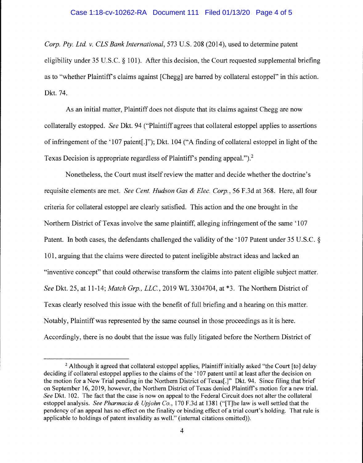## Case 1:18-cv-10262-RA Document 111 Filed 01/13/20 Page 4 of 5

*Corp. Pty. Ltd. v. CLS Bank International,* 573 U.S. 208 (2014), used to determine patent eligibility under 35 U.S.C. § 101). After this decision, the Court requested supplemental briefing as to "whether Plaintiffs claims against [Chegg] are barred by collateral estoppel" in this action. Dkt. 74.

As an initial matter, Plaintiff does not dispute that its claims against Chegg are now collaterally estopped. *See* Dkt. 94 ("Plaintiff agrees that collateral estoppel applies to assertions ' of infringement of the '107 patent[.]"); Dkt. 104 ("A finding of collateral estoppel in light of the Texas Decision is appropriate regardless of Plaintiff's pending appeal.").<sup>2</sup>

Nonetheless, the Court must itself review the matter and decide whether the doctrine's requisite elements are met. *See Cent. Hudson Gas & Elec. Corp.,* 56 F.3d at 368. Here, all four criteria for collateral estoppel are clearly satisfied. This action and the one brought in the Northern District of Texas involve the same plaintiff, alleging infringement of the same '107 Patent. In both cases, the defendants challenged the validity of the '107 Patent under 35 U.S.C. § 101, arguing that the claims were directed to patent ineligible abstract ideas and lacked an "inventive concept" that could otherwise transform the claims into patent eligible subject matter. *See* Dkt. 25, at 11-14; *Match Grp., LLC,* 2019 WL 3304704, at \*3. The Northern District of Texas clearly resolved this issue with the benefit of full briefing and a hearing on this matter. Notably, Plaintiff was represented by the same counsel in those proceedings as it is here. Accordingly, there is no doubt that the issue was fully litigated before the Northern District of

 $2$  Although it agreed that collateral estoppel applies, Plaintiff initially asked "the Court [to] delay deciding if collateral estoppel applies to the claims of the '107 patent until at least after the decision on the motion for a New Trial pending in the Northern District of Texas[.]" Dkt. 94. Since filing that brief on September 16, 2019, however, the Northern District of Texas denied Plaintiff's motion for a new trial. *See* Dkt. 102. The fact that the case is now on appeal to the Federal Circuit does not alter the collateral estoppel analysis. *See Pharmacia & Up john Co.,* 170 F.3d at 1381 ("[T]he law is well settled that the pendency of an appeal has no effect on the finality or binding effect of a trial court's holding. That rule is applicable to holdings of patent invalidity as well." (internal citations omitted)).